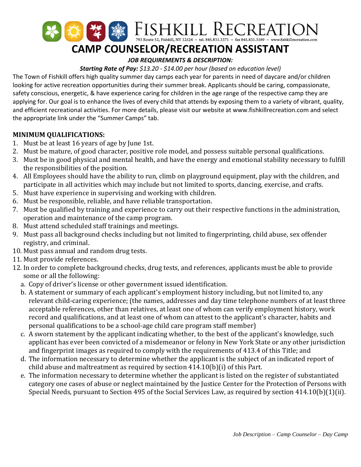

# **CAMP COUNSELOR/RECREATION ASSISTANT**

## *JOB REQUIREMENTS & DESCRIPTION:*

*Starting Rate of Pay: \$13.20 - \$14.00 per hour (based on education level)*

The Town of Fishkill offers high quality summer day camps each year for parents in need of daycare and/or children looking for active recreation opportunities during their summer break. Applicants should be caring, compassionate, safety conscious, energetic, & have experience caring for children in the age range of the respective camp they are applying for. Our goal is to enhance the lives of every child that attends by exposing them to a variety of vibrant, quality, and efficient recreational activities. For more details, please visit our website at www.fishkillrecreation.com and select the appropriate link under the "Summer Camps" tab.

### **MINIMUM QUALIFICATIONS:**

- 1. Must be at least 16 years of age by June 1st.
- 2. Must be mature, of good character, positive role model, and possess suitable personal qualifications.
- 3. Must be in good physical and mental health, and have the energy and emotional stability necessary to fulfill the responsibilities of the position.
- 4. All Employees should have the ability to run, climb on playground equipment, play with the children, and participate in all activities which may include but not limited to sports, dancing, exercise, and crafts.
- 5. Must have experience in supervising and working with children.
- 6. Must be responsible, reliable, and have reliable transportation.
- 7. Must be qualified by training and experience to carry out their respective functions in the administration, operation and maintenance of the camp program.
- 8. Must attend scheduled staff trainings and meetings.
- 9. Must pass all background checks including but not limited to fingerprinting, child abuse, sex offender registry, and criminal.
- 10. Must pass annual and random drug tests.
- 11. Must provide references.
- 12. In order to complete background checks, drug tests, and references, applicants must be able to provide some or all the following:
	- a. Copy of driver's license or other government issued identification.
	- b. A statement or summary of each applicant's employment history including, but not limited to, any relevant child-caring experience; (the names, addresses and day time telephone numbers of at least three acceptable references, other than relatives, at least one of whom can verify employment history, work record and qualifications, and at least one of whom can attest to the applicant's character, habits and personal qualifications to be a school-age child care program staff member)
	- c. A sworn statement by the applicant indicating whether, to the best of the applicant's knowledge, such applicant has ever been convicted of a misdemeanor or felony in New York State or any other jurisdiction and fingerprint images as required to comply with the requirements of 413.4 of this Title; and
	- d. The information necessary to determine whether the applicant is the subject of an indicated report of child abuse and maltreatment as required by section 414.10(b)(i) of this Part.
	- e. The information necessary to determine whether the applicant is listed on the register of substantiated category one cases of abuse or neglect maintained by the Justice Center for the Protection of Persons with Special Needs, pursuant to Section 495 of the Social Services Law, as required by section 414.10(b)(1)(ii).